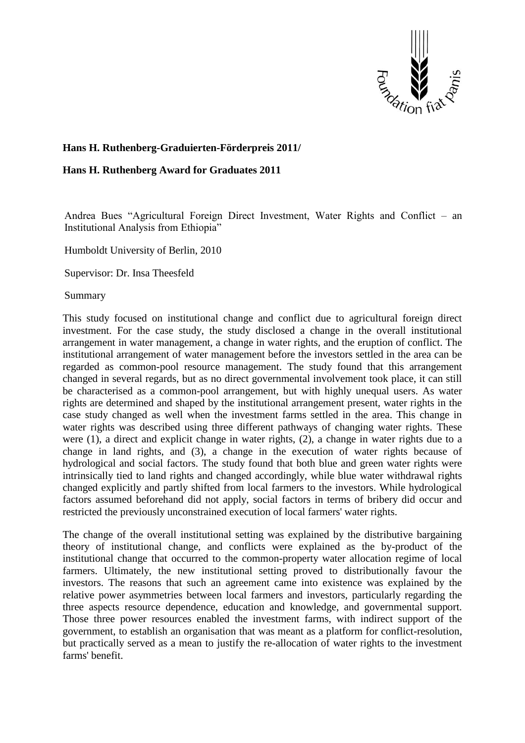

## **Hans H. Ruthenberg-Graduierten-Förderpreis 2011/**

## **Hans H. Ruthenberg Award for Graduates 2011**

Andrea Bues "Agricultural Foreign Direct Investment, Water Rights and Conflict – an Institutional Analysis from Ethiopia"

Humboldt University of Berlin, 2010

Supervisor: Dr. Insa Theesfeld

Summary

This study focused on institutional change and conflict due to agricultural foreign direct investment. For the case study, the study disclosed a change in the overall institutional arrangement in water management, a change in water rights, and the eruption of conflict. The institutional arrangement of water management before the investors settled in the area can be regarded as common-pool resource management. The study found that this arrangement changed in several regards, but as no direct governmental involvement took place, it can still be characterised as a common-pool arrangement, but with highly unequal users. As water rights are determined and shaped by the institutional arrangement present, water rights in the case study changed as well when the investment farms settled in the area. This change in water rights was described using three different pathways of changing water rights. These were (1), a direct and explicit change in water rights, (2), a change in water rights due to a change in land rights, and (3), a change in the execution of water rights because of hydrological and social factors. The study found that both blue and green water rights were intrinsically tied to land rights and changed accordingly, while blue water withdrawal rights changed explicitly and partly shifted from local farmers to the investors. While hydrological factors assumed beforehand did not apply, social factors in terms of bribery did occur and restricted the previously unconstrained execution of local farmers' water rights.

The change of the overall institutional setting was explained by the distributive bargaining theory of institutional change, and conflicts were explained as the by-product of the institutional change that occurred to the common-property water allocation regime of local farmers. Ultimately, the new institutional setting proved to distributionally favour the investors. The reasons that such an agreement came into existence was explained by the relative power asymmetries between local farmers and investors, particularly regarding the three aspects resource dependence, education and knowledge, and governmental support. Those three power resources enabled the investment farms, with indirect support of the government, to establish an organisation that was meant as a platform for conflict-resolution, but practically served as a mean to justify the re-allocation of water rights to the investment farms' benefit.